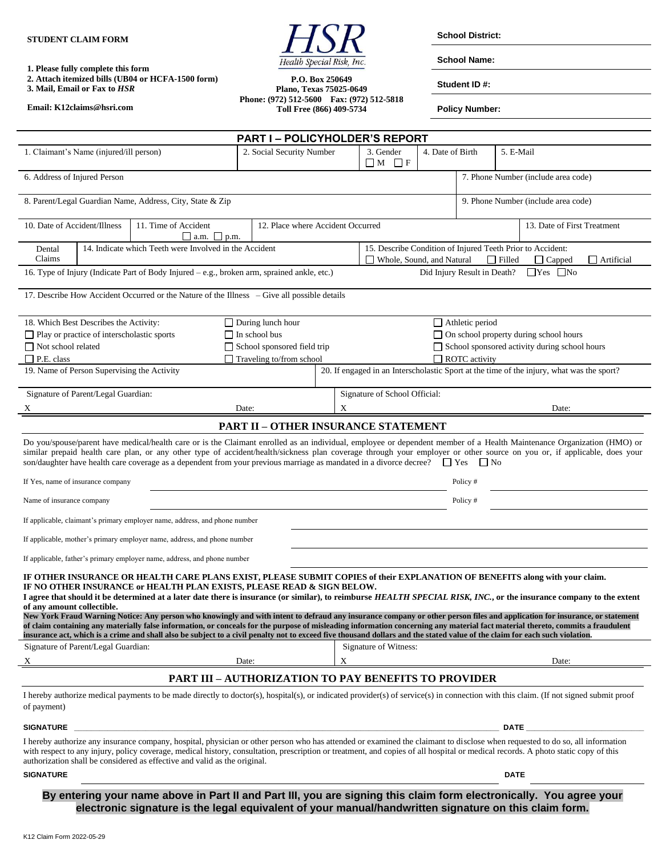

**School Name:**

**1. Please fully complete this form**

**2. Attach itemized bills (UB04 or HCFA-1500 form) 3. Mail, Email or Fax to** *HSR*

**Email: K12claims@hsri.com**

**P.O. Box 250649 Plano, Texas 75025-0649 Phone: (972) 512-5600 Fax: (972) 512-5818 Toll Free (866) 409-5734**

**Student ID #:**

**Policy Number:**

| <b>PART I-POLICYHOLDER'S REPORT</b>                                                                                                                                                                                                                                                                                                                                                                                                                                                                                                                                                                                                                                                                                                                                                                                                                                                                                                                                                                                                                                                                                                                                                                                                                                                                                                                                                                                                                                                                                                                                                                           |  |                                                                                                                                                                                      |                                                             |                                               |                                                                                                                                                |                  |                      |           |       |  |  |
|---------------------------------------------------------------------------------------------------------------------------------------------------------------------------------------------------------------------------------------------------------------------------------------------------------------------------------------------------------------------------------------------------------------------------------------------------------------------------------------------------------------------------------------------------------------------------------------------------------------------------------------------------------------------------------------------------------------------------------------------------------------------------------------------------------------------------------------------------------------------------------------------------------------------------------------------------------------------------------------------------------------------------------------------------------------------------------------------------------------------------------------------------------------------------------------------------------------------------------------------------------------------------------------------------------------------------------------------------------------------------------------------------------------------------------------------------------------------------------------------------------------------------------------------------------------------------------------------------------------|--|--------------------------------------------------------------------------------------------------------------------------------------------------------------------------------------|-------------------------------------------------------------|-----------------------------------------------|------------------------------------------------------------------------------------------------------------------------------------------------|------------------|----------------------|-----------|-------|--|--|
| 1. Claimant's Name (injured/ill person)                                                                                                                                                                                                                                                                                                                                                                                                                                                                                                                                                                                                                                                                                                                                                                                                                                                                                                                                                                                                                                                                                                                                                                                                                                                                                                                                                                                                                                                                                                                                                                       |  |                                                                                                                                                                                      | 2. Social Security Number                                   |                                               | 3. Gender<br>$\Box M$ $\Box F$                                                                                                                 | 4. Date of Birth |                      | 5. E-Mail |       |  |  |
| 6. Address of Injured Person                                                                                                                                                                                                                                                                                                                                                                                                                                                                                                                                                                                                                                                                                                                                                                                                                                                                                                                                                                                                                                                                                                                                                                                                                                                                                                                                                                                                                                                                                                                                                                                  |  |                                                                                                                                                                                      |                                                             |                                               | 7. Phone Number (include area code)                                                                                                            |                  |                      |           |       |  |  |
| 8. Parent/Legal Guardian Name, Address, City, State & Zip                                                                                                                                                                                                                                                                                                                                                                                                                                                                                                                                                                                                                                                                                                                                                                                                                                                                                                                                                                                                                                                                                                                                                                                                                                                                                                                                                                                                                                                                                                                                                     |  |                                                                                                                                                                                      |                                                             |                                               | 9. Phone Number (include area code)                                                                                                            |                  |                      |           |       |  |  |
| 10. Date of Accident/Illness<br>11. Time of Accident<br>12. Place where Accident Occurred<br>$\Box$ a.m. $\Box$ p.m.                                                                                                                                                                                                                                                                                                                                                                                                                                                                                                                                                                                                                                                                                                                                                                                                                                                                                                                                                                                                                                                                                                                                                                                                                                                                                                                                                                                                                                                                                          |  |                                                                                                                                                                                      |                                                             |                                               | 13. Date of First Treatment                                                                                                                    |                  |                      |           |       |  |  |
| 14. Indicate which Teeth were Involved in the Accident<br>Dental<br>Claims                                                                                                                                                                                                                                                                                                                                                                                                                                                                                                                                                                                                                                                                                                                                                                                                                                                                                                                                                                                                                                                                                                                                                                                                                                                                                                                                                                                                                                                                                                                                    |  |                                                                                                                                                                                      |                                                             |                                               | 15. Describe Condition of Injured Teeth Prior to Accident:<br>Whole, Sound, and Natural<br>$\Box$ Filled<br>$\Box$ Artificial<br>$\Box$ Capped |                  |                      |           |       |  |  |
| $\Box$ Yes $\Box$ No<br>Did Injury Result in Death?<br>16. Type of Injury (Indicate Part of Body Injured $-e.g.,$ broken arm, sprained ankle, etc.)                                                                                                                                                                                                                                                                                                                                                                                                                                                                                                                                                                                                                                                                                                                                                                                                                                                                                                                                                                                                                                                                                                                                                                                                                                                                                                                                                                                                                                                           |  |                                                                                                                                                                                      |                                                             |                                               |                                                                                                                                                |                  |                      |           |       |  |  |
| 17. Describe How Accident Occurred or the Nature of the Illness – Give all possible details                                                                                                                                                                                                                                                                                                                                                                                                                                                                                                                                                                                                                                                                                                                                                                                                                                                                                                                                                                                                                                                                                                                                                                                                                                                                                                                                                                                                                                                                                                                   |  |                                                                                                                                                                                      |                                                             |                                               |                                                                                                                                                |                  |                      |           |       |  |  |
| 18. Which Best Describes the Activity:                                                                                                                                                                                                                                                                                                                                                                                                                                                                                                                                                                                                                                                                                                                                                                                                                                                                                                                                                                                                                                                                                                                                                                                                                                                                                                                                                                                                                                                                                                                                                                        |  |                                                                                                                                                                                      | $\Box$ During lunch hour                                    | $\Box$ Athletic period                        |                                                                                                                                                |                  |                      |           |       |  |  |
| □ Play or practice of interscholastic sports                                                                                                                                                                                                                                                                                                                                                                                                                                                                                                                                                                                                                                                                                                                                                                                                                                                                                                                                                                                                                                                                                                                                                                                                                                                                                                                                                                                                                                                                                                                                                                  |  |                                                                                                                                                                                      | $\Box$ In school bus                                        | □ On school property during school hours      |                                                                                                                                                |                  |                      |           |       |  |  |
| □ Not school related                                                                                                                                                                                                                                                                                                                                                                                                                                                                                                                                                                                                                                                                                                                                                                                                                                                                                                                                                                                                                                                                                                                                                                                                                                                                                                                                                                                                                                                                                                                                                                                          |  |                                                                                                                                                                                      | School sponsored field trip                                 | School sponsored activity during school hours |                                                                                                                                                |                  |                      |           |       |  |  |
| $\Box$ P.E. class                                                                                                                                                                                                                                                                                                                                                                                                                                                                                                                                                                                                                                                                                                                                                                                                                                                                                                                                                                                                                                                                                                                                                                                                                                                                                                                                                                                                                                                                                                                                                                                             |  |                                                                                                                                                                                      | $\Box$ Traveling to/from school                             |                                               |                                                                                                                                                |                  | $\Box$ ROTC activity |           |       |  |  |
| 19. Name of Person Supervising the Activity                                                                                                                                                                                                                                                                                                                                                                                                                                                                                                                                                                                                                                                                                                                                                                                                                                                                                                                                                                                                                                                                                                                                                                                                                                                                                                                                                                                                                                                                                                                                                                   |  |                                                                                                                                                                                      |                                                             |                                               | 20. If engaged in an Interscholastic Sport at the time of the injury, what was the sport?                                                      |                  |                      |           |       |  |  |
| Signature of Parent/Legal Guardian:<br>Date:                                                                                                                                                                                                                                                                                                                                                                                                                                                                                                                                                                                                                                                                                                                                                                                                                                                                                                                                                                                                                                                                                                                                                                                                                                                                                                                                                                                                                                                                                                                                                                  |  |                                                                                                                                                                                      |                                                             | X                                             | Signature of School Official:<br>Date:                                                                                                         |                  |                      |           |       |  |  |
|                                                                                                                                                                                                                                                                                                                                                                                                                                                                                                                                                                                                                                                                                                                                                                                                                                                                                                                                                                                                                                                                                                                                                                                                                                                                                                                                                                                                                                                                                                                                                                                                               |  |                                                                                                                                                                                      | <b>PART II - OTHER INSURANCE STATEMENT</b>                  |                                               |                                                                                                                                                |                  |                      |           |       |  |  |
| Do you/spouse/parent have medical/health care or is the Claimant enrolled as an individual, employee or dependent member of a Health Maintenance Organization (HMO) or<br>similar prepaid health care plan, or any other type of accident/health/sickness plan coverage through your employer or other source on you or, if applicable, does your<br>son/daughter have health care coverage as a dependent from your previous marriage as mandated in a divorce decree? $\Box$ Yes<br>$\Box$ No<br>If Yes, name of insurance company<br>Policy#<br>Name of insurance company<br>Policy#<br>If applicable, claimant's primary employer name, address, and phone number<br>If applicable, mother's primary employer name, address, and phone number<br>If applicable, father's primary employer name, address, and phone number<br>IF OTHER INSURANCE OR HEALTH CARE PLANS EXIST, PLEASE SUBMIT COPIES of their EXPLANATION OF BENEFITS along with your claim.<br>IF NO OTHER INSURANCE or HEALTH PLAN EXISTS, PLEASE READ & SIGN BELOW.<br>I agree that should it be determined at a later date there is insurance (or similar), to reimburse HEALTH SPECIAL RISK, INC., or the insurance company to the extent<br>of any amount collectible.<br>New York Fraud Warning Notice: Any person who knowingly and with intent to defraud any insurance company or other person files and application for insurance, or statement<br>of claim containing any materially false information, or conceals for the purpose of misleading information concerning any material fact material thereto, commits a fraudulent |  |                                                                                                                                                                                      |                                                             |                                               |                                                                                                                                                |                  |                      |           |       |  |  |
| Signature of Parent/Legal Guardian:                                                                                                                                                                                                                                                                                                                                                                                                                                                                                                                                                                                                                                                                                                                                                                                                                                                                                                                                                                                                                                                                                                                                                                                                                                                                                                                                                                                                                                                                                                                                                                           |  | insurance act, which is a crime and shall also be subject to a civil penalty not to exceed five thousand dollars and the stated value of the claim for each such violation.          |                                                             |                                               | Signature of Witness:                                                                                                                          |                  |                      |           |       |  |  |
|                                                                                                                                                                                                                                                                                                                                                                                                                                                                                                                                                                                                                                                                                                                                                                                                                                                                                                                                                                                                                                                                                                                                                                                                                                                                                                                                                                                                                                                                                                                                                                                                               |  |                                                                                                                                                                                      | Date:                                                       | X                                             |                                                                                                                                                |                  |                      |           | Date: |  |  |
|                                                                                                                                                                                                                                                                                                                                                                                                                                                                                                                                                                                                                                                                                                                                                                                                                                                                                                                                                                                                                                                                                                                                                                                                                                                                                                                                                                                                                                                                                                                                                                                                               |  |                                                                                                                                                                                      | <b>PART III - AUTHORIZATION TO PAY BENEFITS TO PROVIDER</b> |                                               |                                                                                                                                                |                  |                      |           |       |  |  |
| of payment)<br><b>SIGNATURE</b>                                                                                                                                                                                                                                                                                                                                                                                                                                                                                                                                                                                                                                                                                                                                                                                                                                                                                                                                                                                                                                                                                                                                                                                                                                                                                                                                                                                                                                                                                                                                                                               |  | I hereby authorize medical payments to be made directly to doctor(s), hospital(s), or indicated provider(s) of service(s) in connection with this claim. (If not signed submit proof |                                                             |                                               |                                                                                                                                                |                  |                      | DATE _    |       |  |  |
| I hereby authorize any insurance company, hospital, physician or other person who has attended or examined the claimant to disclose when requested to do so, all information<br>with respect to any injury, policy coverage, medical history, consultation, prescription or treatment, and copies of all hospital or medical records. A photo static copy of this<br>authorization shall be considered as effective and valid as the original.                                                                                                                                                                                                                                                                                                                                                                                                                                                                                                                                                                                                                                                                                                                                                                                                                                                                                                                                                                                                                                                                                                                                                                |  |                                                                                                                                                                                      |                                                             |                                               |                                                                                                                                                |                  |                      |           |       |  |  |
| <b>SIGNATURE</b><br><b>DATE</b>                                                                                                                                                                                                                                                                                                                                                                                                                                                                                                                                                                                                                                                                                                                                                                                                                                                                                                                                                                                                                                                                                                                                                                                                                                                                                                                                                                                                                                                                                                                                                                               |  |                                                                                                                                                                                      |                                                             |                                               |                                                                                                                                                |                  |                      |           |       |  |  |

**By entering your name above in Part II and Part III, you are signing this claim form electronically. You agree your electronic signature is the legal equivalent of your manual/handwritten signature on this claim form.**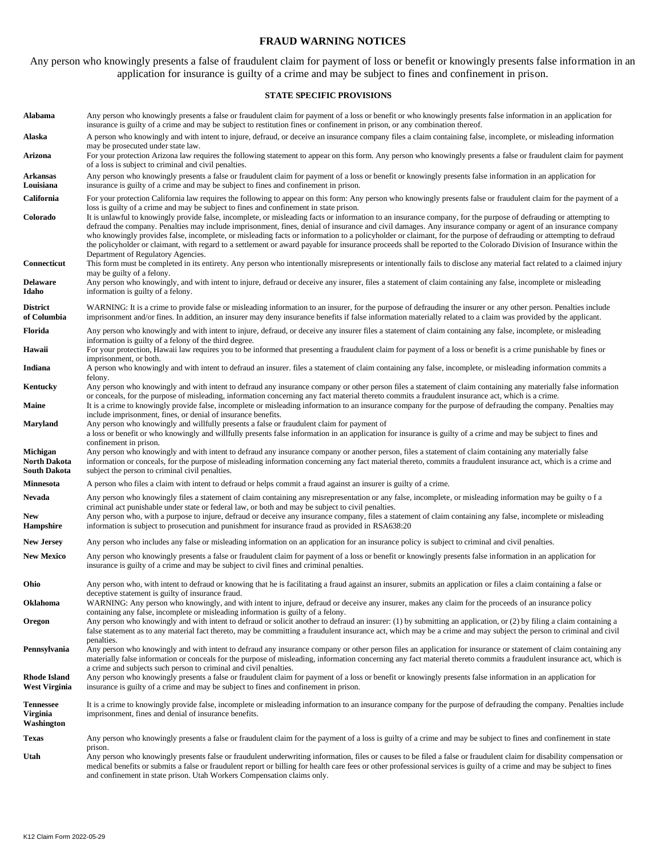## **FRAUD WARNING NOTICES**

Any person who knowingly presents a false of fraudulent claim for payment of loss or benefit or knowingly presents false information in an application for insurance is guilty of a crime and may be subject to fines and confinement in prison.

### **STATE SPECIFIC PROVISIONS**

| Alabama                                    | Any person who knowingly presents a false or fraudulent claim for payment of a loss or benefit or who knowingly presents false information in an application for<br>insurance is guilty of a crime and may be subject to restitution fines or confinement in prison, or any combination thereof.                                                                                                                                                                                                                                                                                                                                                                                                                                                                                                                 |  |  |  |  |  |  |  |
|--------------------------------------------|------------------------------------------------------------------------------------------------------------------------------------------------------------------------------------------------------------------------------------------------------------------------------------------------------------------------------------------------------------------------------------------------------------------------------------------------------------------------------------------------------------------------------------------------------------------------------------------------------------------------------------------------------------------------------------------------------------------------------------------------------------------------------------------------------------------|--|--|--|--|--|--|--|
| Alaska                                     | A person who knowingly and with intent to injure, defraud, or deceive an insurance company files a claim containing false, incomplete, or misleading information<br>may be prosecuted under state law.                                                                                                                                                                                                                                                                                                                                                                                                                                                                                                                                                                                                           |  |  |  |  |  |  |  |
| Arizona                                    | For your protection Arizona law requires the following statement to appear on this form. Any person who knowingly presents a false or fraudulent claim for payment<br>of a loss is subject to criminal and civil penalties.                                                                                                                                                                                                                                                                                                                                                                                                                                                                                                                                                                                      |  |  |  |  |  |  |  |
| Arkansas<br>Louisiana                      | Any person who knowingly presents a false or fraudulent claim for payment of a loss or benefit or knowingly presents false information in an application for<br>insurance is guilty of a crime and may be subject to fines and confinement in prison.                                                                                                                                                                                                                                                                                                                                                                                                                                                                                                                                                            |  |  |  |  |  |  |  |
| California                                 | For your protection California law requires the following to appear on this form: Any person who knowingly presents false or fraudulent claim for the payment of a                                                                                                                                                                                                                                                                                                                                                                                                                                                                                                                                                                                                                                               |  |  |  |  |  |  |  |
| Colorado                                   | loss is guilty of a crime and may be subject to fines and confinement in state prison.<br>It is unlawful to knowingly provide false, incomplete, or misleading facts or information to an insurance company, for the purpose of defrauding or attempting to<br>defraud the company. Penalties may include imprisonment, fines, denial of insurance and civil damages. Any insurance company or agent of an insurance company<br>who knowingly provides false, incomplete, or misleading facts or information to a policyholder or claimant, for the purpose of defrauding or attempting to defraud<br>the policyholder or claimant, with regard to a settlement or award payable for insurance proceeds shall be reported to the Colorado Division of Insurance within the<br>Department of Regulatory Agencies. |  |  |  |  |  |  |  |
| Connecticut                                | This form must be completed in its entirety. Any person who intentionally misrepresents or intentionally fails to disclose any material fact related to a claimed injury<br>may be guilty of a felony.                                                                                                                                                                                                                                                                                                                                                                                                                                                                                                                                                                                                           |  |  |  |  |  |  |  |
| Delaware<br>Idaho                          | Any person who knowingly, and with intent to injure, defraud or deceive any insurer, files a statement of claim containing any false, incomplete or misleading<br>information is guilty of a felony.                                                                                                                                                                                                                                                                                                                                                                                                                                                                                                                                                                                                             |  |  |  |  |  |  |  |
| <b>District</b><br>of Columbia             | WARNING: It is a crime to provide false or misleading information to an insurer, for the purpose of defrauding the insurer or any other person. Penalties include<br>imprisonment and/or fines. In addition, an insurer may deny insurance benefits if false information materially related to a claim was provided by the applicant.                                                                                                                                                                                                                                                                                                                                                                                                                                                                            |  |  |  |  |  |  |  |
| Florida                                    | Any person who knowingly and with intent to injure, defraud, or deceive any insurer files a statement of claim containing any false, incomplete, or misleading<br>information is guilty of a felony of the third degree.                                                                                                                                                                                                                                                                                                                                                                                                                                                                                                                                                                                         |  |  |  |  |  |  |  |
| Hawaii                                     | For your protection, Hawaii law requires you to be informed that presenting a fraudulent claim for payment of a loss or benefit is a crime punishable by fines or<br>imprisonment, or both.                                                                                                                                                                                                                                                                                                                                                                                                                                                                                                                                                                                                                      |  |  |  |  |  |  |  |
| Indiana                                    | A person who knowingly and with intent to defraud an insurer. files a statement of claim containing any false, incomplete, or misleading information commits a<br>felony.                                                                                                                                                                                                                                                                                                                                                                                                                                                                                                                                                                                                                                        |  |  |  |  |  |  |  |
| Kentucky                                   | Any person who knowingly and with intent to defraud any insurance company or other person files a statement of claim containing any materially false information<br>or conceals, for the purpose of misleading, information concerning any fact material thereto commits a fraudulent insurance act, which is a crime.                                                                                                                                                                                                                                                                                                                                                                                                                                                                                           |  |  |  |  |  |  |  |
| Maine                                      | It is a crime to knowingly provide false, incomplete or misleading information to an insurance company for the purpose of defrauding the company. Penalties may<br>include imprisonment, fines, or denial of insurance benefits.                                                                                                                                                                                                                                                                                                                                                                                                                                                                                                                                                                                 |  |  |  |  |  |  |  |
| Maryland                                   | Any person who knowingly and willfully presents a false or fraudulent claim for payment of<br>a loss or benefit or who knowingly and willfully presents false information in an application for insurance is guilty of a crime and may be subject to fines and<br>confinement in prison.                                                                                                                                                                                                                                                                                                                                                                                                                                                                                                                         |  |  |  |  |  |  |  |
| Michigan<br>North Dakota<br>South Dakota   | Any person who knowingly and with intent to defraud any insurance company or another person, files a statement of claim containing any materially false<br>information or conceals, for the purpose of misleading information concerning any fact material thereto, commits a fraudulent insurance act, which is a crime and<br>subject the person to criminal civil penalties.                                                                                                                                                                                                                                                                                                                                                                                                                                  |  |  |  |  |  |  |  |
| Minnesota                                  | A person who files a claim with intent to defraud or helps commit a fraud against an insurer is guilty of a crime.                                                                                                                                                                                                                                                                                                                                                                                                                                                                                                                                                                                                                                                                                               |  |  |  |  |  |  |  |
| Nevada<br>New<br>Hampshire                 | Any person who knowingly files a statement of claim containing any misrepresentation or any false, incomplete, or misleading information may be guilty of a<br>criminal act punishable under state or federal law, or both and may be subject to civil penalties.<br>Any person who, with a purpose to injure, defraud or deceive any insurance company, files a statement of claim containing any false, incomplete or misleading<br>information is subject to prosecution and punishment for insurance fraud as provided in RSA638:20                                                                                                                                                                                                                                                                          |  |  |  |  |  |  |  |
| <b>New Jersey</b>                          | Any person who includes any false or misleading information on an application for an insurance policy is subject to criminal and civil penalties.                                                                                                                                                                                                                                                                                                                                                                                                                                                                                                                                                                                                                                                                |  |  |  |  |  |  |  |
| <b>New Mexico</b>                          | Any person who knowingly presents a false or fraudulent claim for payment of a loss or benefit or knowingly presents false information in an application for                                                                                                                                                                                                                                                                                                                                                                                                                                                                                                                                                                                                                                                     |  |  |  |  |  |  |  |
|                                            | insurance is guilty of a crime and may be subject to civil fines and criminal penalties.                                                                                                                                                                                                                                                                                                                                                                                                                                                                                                                                                                                                                                                                                                                         |  |  |  |  |  |  |  |
| Ohio                                       | Any person who, with intent to defraud or knowing that he is facilitating a fraud against an insurer, submits an application or files a claim containing a false or<br>deceptive statement is guilty of insurance fraud.                                                                                                                                                                                                                                                                                                                                                                                                                                                                                                                                                                                         |  |  |  |  |  |  |  |
| Oklahoma                                   | WARNING: Any person who knowingly, and with intent to injure, defraud or deceive any insurer, makes any claim for the proceeds of an insurance policy<br>containing any false, incomplete or misleading information is guilty of a felony.                                                                                                                                                                                                                                                                                                                                                                                                                                                                                                                                                                       |  |  |  |  |  |  |  |
| Oregon                                     | Any person who knowingly and with intent to defraud or solicit another to defraud an insurer: (1) by submitting an application, or (2) by filing a claim containing a<br>false statement as to any material fact thereto, may be committing a fraudulent insurance act, which may be a crime and may subject the person to criminal and civil<br>penalties.                                                                                                                                                                                                                                                                                                                                                                                                                                                      |  |  |  |  |  |  |  |
| Pennsylvania                               | Any person who knowingly and with intent to defraud any insurance company or other person files an application for insurance or statement of claim containing any<br>materially false information or conceals for the purpose of misleading, information concerning any fact material thereto commits a fraudulent insurance act, which is                                                                                                                                                                                                                                                                                                                                                                                                                                                                       |  |  |  |  |  |  |  |
| <b>Rhode Island</b><br>West Virginia       | a crime and subjects such person to criminal and civil penalties.<br>Any person who knowingly presents a false or fraudulent claim for payment of a loss or benefit or knowingly presents false information in an application for<br>insurance is guilty of a crime and may be subject to fines and confinement in prison.                                                                                                                                                                                                                                                                                                                                                                                                                                                                                       |  |  |  |  |  |  |  |
| <b>Tennessee</b><br>Virginia<br>Washington | It is a crime to knowingly provide false, incomplete or misleading information to an insurance company for the purpose of defrauding the company. Penalties include<br>imprisonment, fines and denial of insurance benefits.                                                                                                                                                                                                                                                                                                                                                                                                                                                                                                                                                                                     |  |  |  |  |  |  |  |
| Texas                                      | Any person who knowingly presents a false or fraudulent claim for the payment of a loss is guilty of a crime and may be subject to fines and confinement in state                                                                                                                                                                                                                                                                                                                                                                                                                                                                                                                                                                                                                                                |  |  |  |  |  |  |  |
| Utah                                       | prison.<br>Any person who knowingly presents false or fraudulent underwriting information, files or causes to be filed a false or fraudulent claim for disability compensation or<br>medical benefits or submits a false or fraudulent report or billing for health care fees or other professional services is guilty of a crime and may be subject to fines<br>and confinement in state prison. Utah Workers Compensation claims only.                                                                                                                                                                                                                                                                                                                                                                         |  |  |  |  |  |  |  |